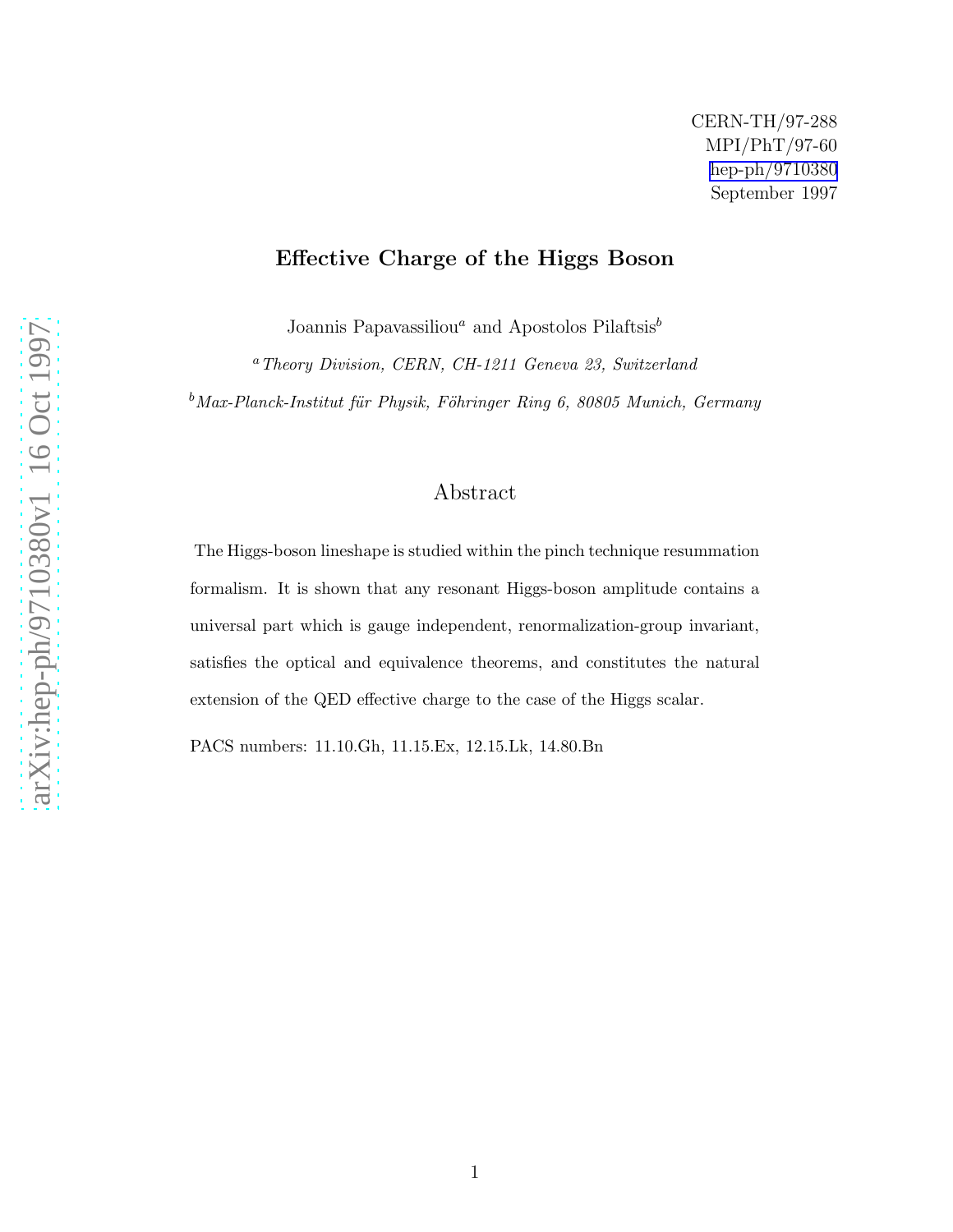## Effective Charge of the Higgs Boson

Joannis Papavassiliou<sup>a</sup> and Apostolos Pilaftsis<sup>b</sup>

<sup>a</sup>Theory Division, CERN, CH-1211 Geneva 23, Switzerland

 $b$ Max-Planck-Institut für Physik, Föhringer Ring 6, 80805 Munich, Germany

## Abstract

The Higgs-boson lineshape is studied within the pinch technique resummation formalism. It is shown that any resonant Higgs-boson amplitude contains a universal part which is gauge independent, renormalization-group invariant, satisfies the optical and equivalence theorems, and constitutes the natural extension of the QED effective charge to the case of the Higgs scalar.

PACS numbers: 11.10.Gh, 11.15.Ex, 12.15.Lk, 14.80.Bn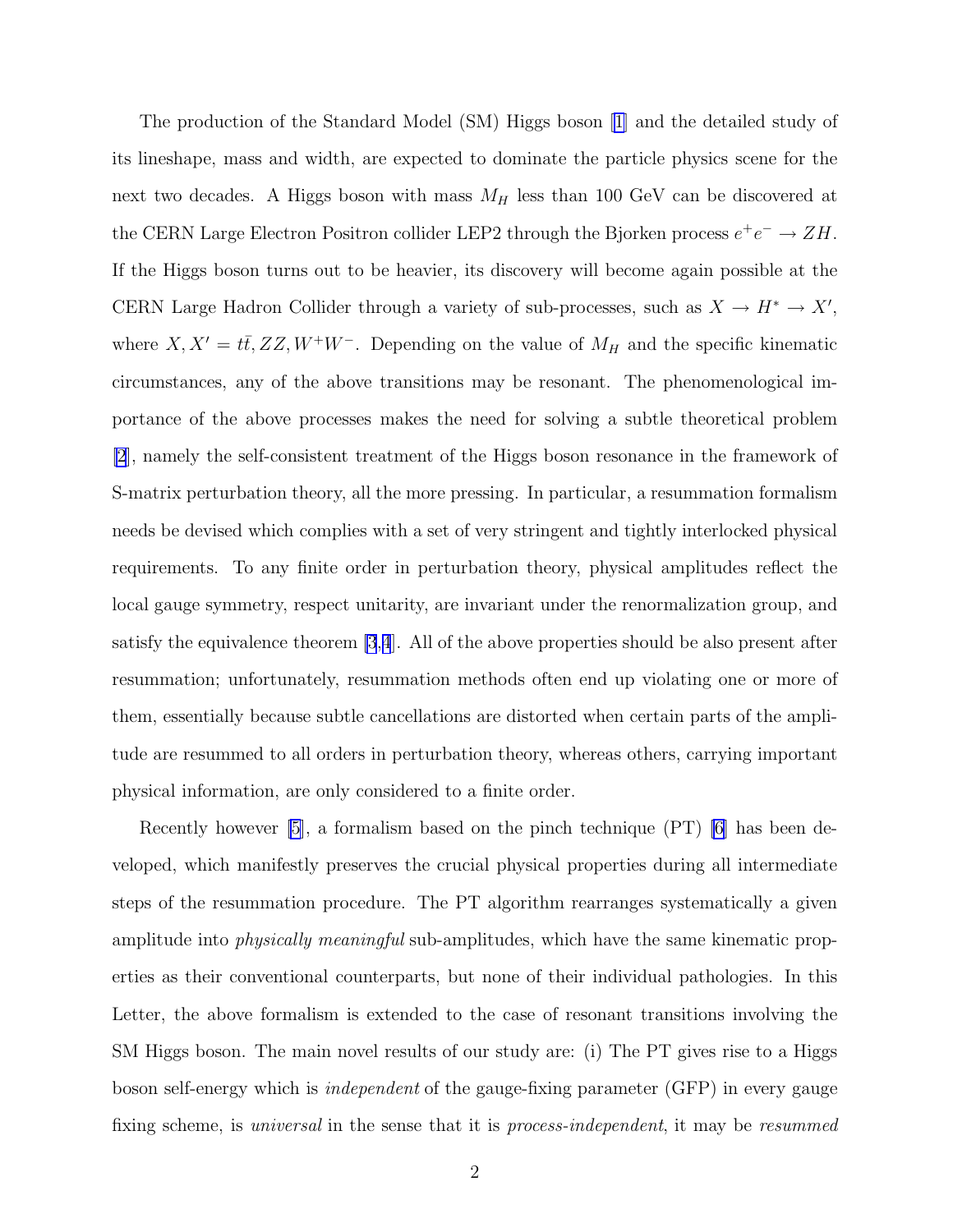The production of the Standard Model (SM) Higgs boson[[1\]](#page-8-0) and the detailed study of its lineshape, mass and width, are expected to dominate the particle physics scene for the next two decades. A Higgs boson with mass  $M_H$  less than 100 GeV can be discovered at the CERN Large Electron Positron collider LEP2 through the Bjorken process  $e^+e^- \to ZH$ . If the Higgs boson turns out to be heavier, its discovery will become again possible at the CERN Large Hadron Collider through a variety of sub-processes, such as  $X \to H^* \to X'$ , where  $X, X' = t\bar{t}, ZZ, W^+W^-$ . Depending on the value of  $M_H$  and the specific kinematic circumstances, any of the above transitions may be resonant. The phenomenological importance of the above processes makes the need for solving a subtle theoretical problem [\[2](#page-8-0)], namely the self-consistent treatment of the Higgs boson resonance in the framework of S-matrix perturbation theory, all the more pressing. In particular, a resummation formalism needs be devised which complies with a set of very stringent and tightly interlocked physical requirements. To any finite order in perturbation theory, physical amplitudes reflect the local gauge symmetry, respect unitarity, are invariant under the renormalization group, and satisfy the equivalence theorem [\[3](#page-8-0),[4](#page-8-0)]. All of the above properties should be also present after resummation; unfortunately, resummation methods often end up violating one or more of them, essentially because subtle cancellations are distorted when certain parts of the amplitude are resummed to all orders in perturbation theory, whereas others, carrying important physical information, are only considered to a finite order.

Recently however [\[5](#page-8-0)], a formalism based on the pinch technique (PT) [\[6](#page-8-0)] has been developed, which manifestly preserves the crucial physical properties during all intermediate steps of the resummation procedure. The PT algorithm rearranges systematically a given amplitude into *physically meaningful* sub-amplitudes, which have the same kinematic properties as their conventional counterparts, but none of their individual pathologies. In this Letter, the above formalism is extended to the case of resonant transitions involving the SM Higgs boson. The main novel results of our study are: (i) The PT gives rise to a Higgs boson self-energy which is independent of the gauge-fixing parameter (GFP) in every gauge fixing scheme, is universal in the sense that it is process-independent, it may be resummed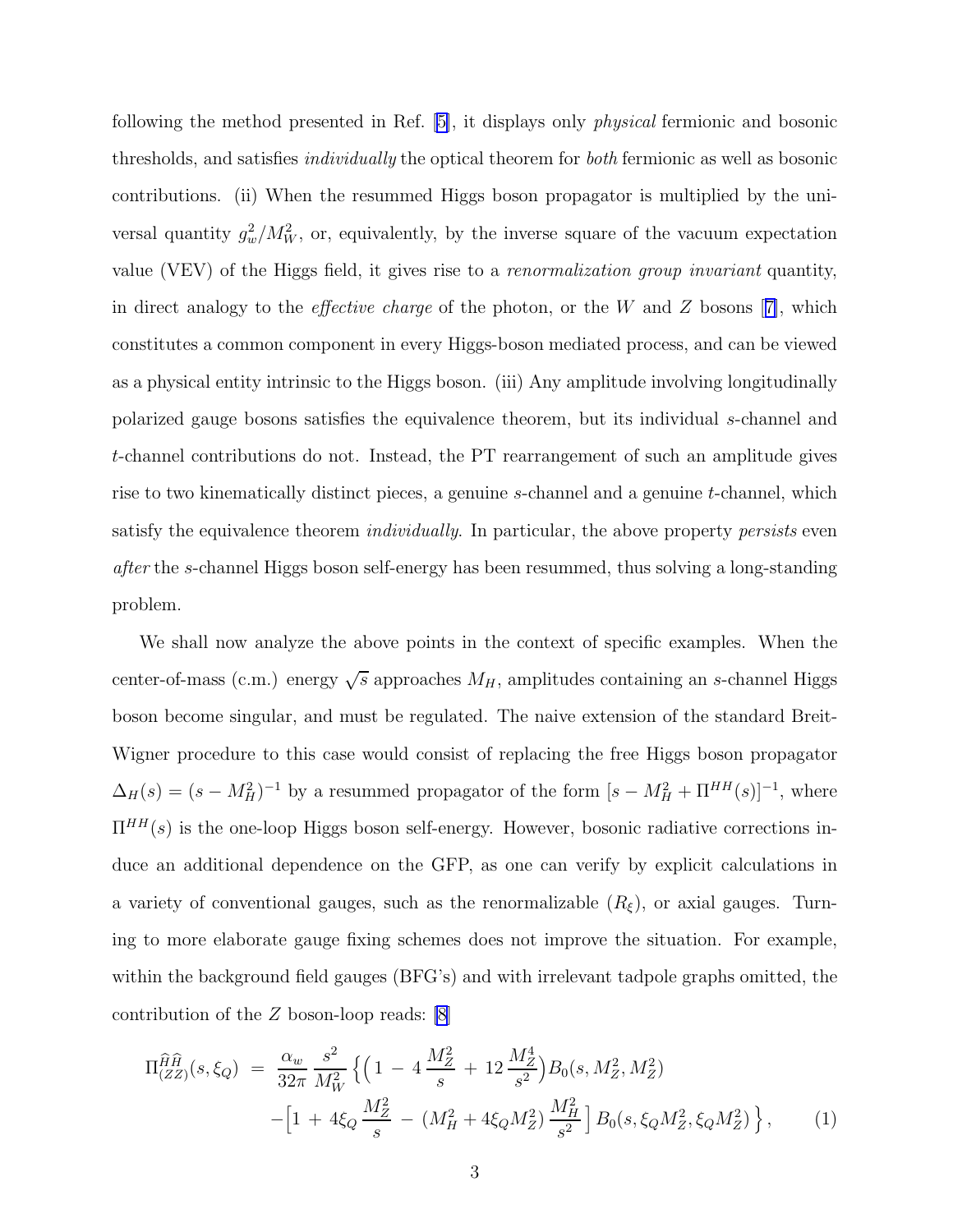<span id="page-2-0"></span>following the method presented in Ref. [\[5\]](#page-8-0), it displays only physical fermionic and bosonic thresholds, and satisfies individually the optical theorem for both fermionic as well as bosonic contributions. (ii) When the resummed Higgs boson propagator is multiplied by the universal quantity  $g_w^2/M_W^2$ , or, equivalently, by the inverse square of the vacuum expectation value (VEV) of the Higgs field, it gives rise to a renormalization group invariant quantity, indirect analogy to the *effective charge* of the photon, or the W and Z bosons  $[7]$  $[7]$ , which constitutes a common component in every Higgs-boson mediated process, and can be viewed as a physical entity intrinsic to the Higgs boson. (iii) Any amplitude involving longitudinally polarized gauge bosons satisfies the equivalence theorem, but its individual s-channel and t-channel contributions do not. Instead, the PT rearrangement of such an amplitude gives rise to two kinematically distinct pieces, a genuine s-channel and a genuine t-channel, which satisfy the equivalence theorem *individually*. In particular, the above property *persists* even after the s-channel Higgs boson self-energy has been resummed, thus solving a long-standing problem.

We shall now analyze the above points in the context of specific examples. When the center-of-mass (c.m.) energy  $\sqrt{s}$  approaches  $M_H$ , amplitudes containing an s-channel Higgs boson become singular, and must be regulated. The naive extension of the standard Breit-Wigner procedure to this case would consist of replacing the free Higgs boson propagator  $\Delta_H(s) = (s - M_H^2)^{-1}$  by a resummed propagator of the form  $[s - M_H^2 + \Pi^{HH}(s)]^{-1}$ , where  $\Pi^{HH}(s)$  is the one-loop Higgs boson self-energy. However, bosonic radiative corrections induce an additional dependence on the GFP, as one can verify by explicit calculations in a variety of conventional gauges, such as the renormalizable  $(R_{\xi})$ , or axial gauges. Turning to more elaborate gauge fixing schemes does not improve the situation. For example, within the background field gauges (BFG's) and with irrelevant tadpole graphs omitted, the contribution of the Z boson-loop reads: [\[8](#page-8-0)]

$$
\Pi_{(ZZ)}^{\hat{H}\hat{H}}(s,\xi_Q) = \frac{\alpha_w}{32\pi} \frac{s^2}{M_W^2} \left\{ \left( 1 - 4\frac{M_Z^2}{s} + 12\frac{M_Z^4}{s^2} \right) B_0(s, M_Z^2, M_Z^2) - \left[ 1 + 4\xi_Q \frac{M_Z^2}{s} - (M_H^2 + 4\xi_Q M_Z^2) \frac{M_H^2}{s^2} \right] B_0(s, \xi_Q M_Z^2, \xi_Q M_Z^2) \right\},
$$
\n(1)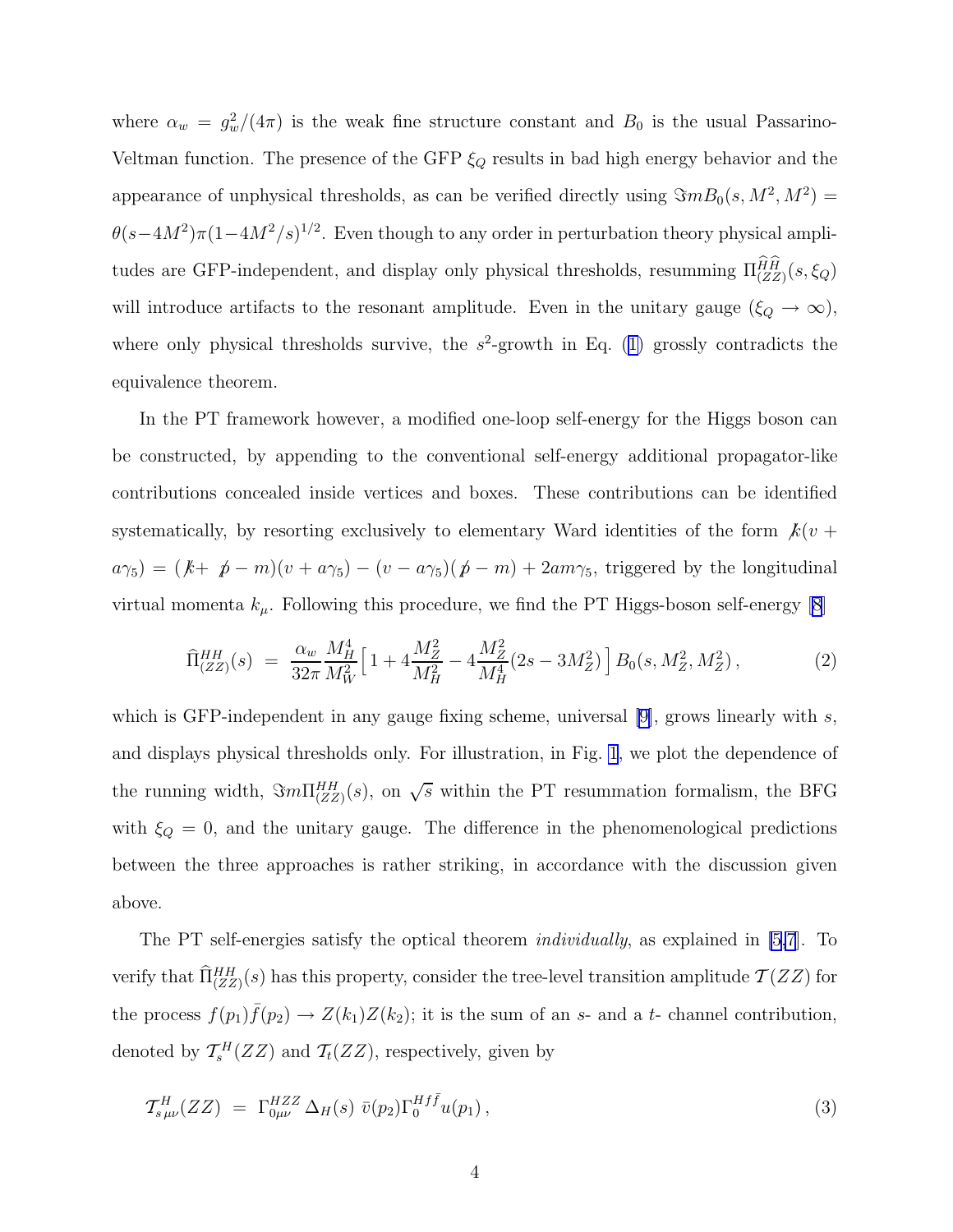<span id="page-3-0"></span>where  $\alpha_w = g_w^2/(4\pi)$  is the weak fine structure constant and  $B_0$  is the usual Passarino-Veltman function. The presence of the GFP  $\xi_Q$  results in bad high energy behavior and the appearance of unphysical thresholds, as can be verified directly using  $\Im mB_0(s, M^2, M^2)$  =  $\theta(s-4M^2)\pi(1-4M^2/s)^{1/2}$ . Even though to any order in perturbation theory physical amplitudes are GFP-independent, and display only physical thresholds, resumming  $\Pi_{(ZZ)}^{HH}(s,\xi_Q)$ will introduce artifacts to the resonant amplitude. Even in the unitary gauge ( $\xi_Q \to \infty$ ), whereonly physical thresholds survive, the  $s^2$ -growth in Eq. ([1\)](#page-2-0) grossly contradicts the equivalence theorem.

In the PT framework however, a modified one-loop self-energy for the Higgs boson can be constructed, by appending to the conventional self-energy additional propagator-like contributions concealed inside vertices and boxes. These contributions can be identified systematically, by resorting exclusively to elementary Ward identities of the form  $k(v +$  $a\gamma_5$ ) =  $(k+\not p-m)(v+a\gamma_5)-(v-a\gamma_5)(\not p-m)+2am\gamma_5$ , triggered by the longitudinal virtual momenta  $k_{\mu}$ . Following this procedure, we find the PT Higgs-boson self-energy [\[8](#page-8-0)]

$$
\widehat{\Pi}_{(ZZ)}^{HH}(s) = \frac{\alpha_w}{32\pi} \frac{M_H^4}{M_W^2} \Big[ 1 + 4\frac{M_Z^2}{M_H^2} - 4\frac{M_Z^2}{M_H^4} (2s - 3M_Z^2) \Big] B_0(s, M_Z^2, M_Z^2),\tag{2}
$$

which is GFP-independent in any gauge fixing scheme, universal [\[9\]](#page-8-0), grows linearly with s, and displays physical thresholds only. For illustration, in Fig. [1](#page-10-0), we plot the dependence of the running width,  $\Im m \Pi_{(ZZ)}^{HH}(s)$ , on  $\sqrt{s}$  within the PT resummation formalism, the BFG with  $\xi_Q = 0$ , and the unitary gauge. The difference in the phenomenological predictions between the three approaches is rather striking, in accordance with the discussion given above.

The PT self-energies satisfy the optical theorem *individually*, as explained in [\[5,7](#page-8-0)]. To verify that  $\hat{\Pi}_{(ZZ)}^{HH}(s)$  has this property, consider the tree-level transition amplitude  $\mathcal{T}(ZZ)$  for the process  $f(p_1) \bar{f}(p_2) \to Z(k_1)Z(k_2)$ ; it is the sum of an s- and a t- channel contribution, denoted by  $\mathcal{T}_{s}^{H}(ZZ)$  and  $\mathcal{T}_{t}(ZZ)$ , respectively, given by

$$
\mathcal{T}_{s\,\mu\nu}^H(ZZ) = \Gamma_{0\mu\nu}^{HZZ} \Delta_H(s) \bar{v}(p_2) \Gamma_0^{Hf\bar{f}} u(p_1) , \qquad (3)
$$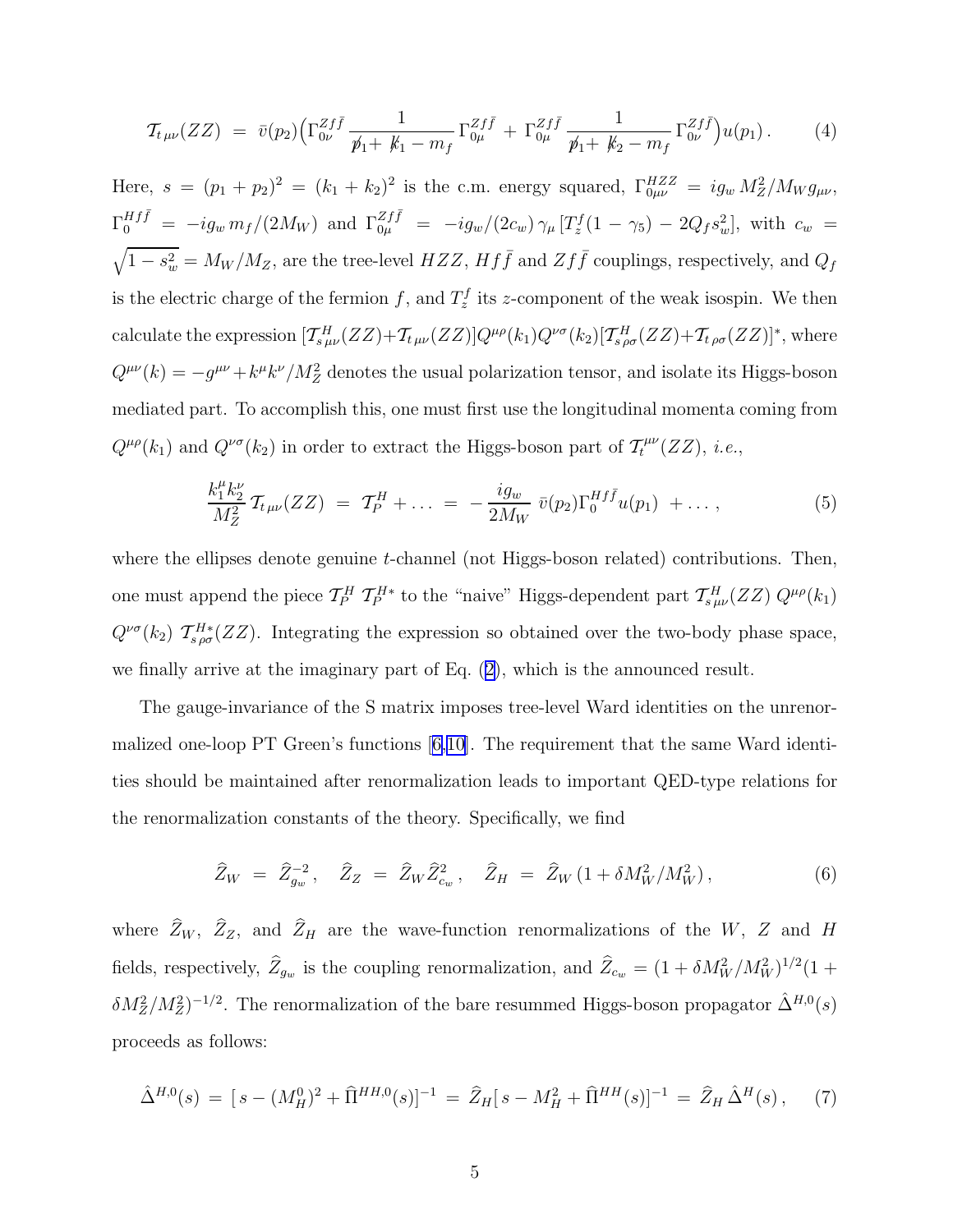<span id="page-4-0"></span>
$$
\mathcal{T}_{t\,\mu\nu}(ZZ) \; = \; \bar{v}(p_2) \Big( \Gamma_{0\nu}^{Zf\bar{f}} \frac{1}{\not p_1 + \not k_1 - m_f} \Gamma_{0\mu}^{Zf\bar{f}} + \Gamma_{0\mu}^{Zf\bar{f}} \frac{1}{\not p_1 + \not k_2 - m_f} \Gamma_{0\nu}^{Zf\bar{f}} \Big) u(p_1) \,. \tag{4}
$$

Here,  $s = (p_1 + p_2)^2 = (k_1 + k_2)^2$  is the c.m. energy squared,  $\Gamma_{0\mu\nu}^{HZZ} = ig_w M_Z^2 / M_W g_{\mu\nu}$ ,  $\Gamma_0^{Hf\bar{f}} = -ig_w m_f/(2M_W)$  and  $\Gamma_{0\mu}^{Zf\bar{f}} = -ig_w/(2c_w)\gamma_\mu [T_z^f(1-\gamma_5) - 2Q_f s_w^2]$ , with  $c_w =$  $\sqrt{1-s_w^2} = M_W/M_Z$ , are the tree-level  $HZZ$ ,  $Hf\bar{f}$  and  $Zf\bar{f}$  couplings, respectively, and  $Q_f$ is the electric charge of the fermion f, and  $T_z^f$  its z-component of the weak isospin. We then calculate the expression  $[\mathcal{T}_{s\mu\nu}^H(ZZ)+\mathcal{T}_{t\mu\nu}(ZZ)]Q^{\mu\rho}(k_1)Q^{\nu\sigma}(k_2)[\mathcal{T}_{s\,\rho\sigma}^H(ZZ)+\mathcal{T}_{t\,\rho\sigma}(ZZ)]^*$ , where  $Q^{\mu\nu}(k) = -g^{\mu\nu} + k^{\mu}k^{\nu}/M_Z^2$  denotes the usual polarization tensor, and isolate its Higgs-boson mediated part. To accomplish this, one must first use the longitudinal momenta coming from  $Q^{\mu\rho}(k_1)$  and  $Q^{\nu\sigma}(k_2)$  in order to extract the Higgs-boson part of  $\mathcal{T}_t^{\mu\nu}$  $\tilde{t}^{\mu\nu}(ZZ),\ i.e.,$ 

$$
\frac{k_1^{\mu} k_2^{\nu}}{M_Z^2} \mathcal{T}_{t\mu\nu}(ZZ) = \mathcal{T}_P^H + \dots = -\frac{ig_w}{2M_W} \bar{v}(p_2) \Gamma_0^{Hf\bar{f}} u(p_1) + \dots,
$$
\n(5)

where the ellipses denote genuine t-channel (not Higgs-boson related) contributions. Then, one must append the piece  $T_P^H T_P^{H*}$  to the "naive" Higgs-dependent part  $T_{s\mu\nu}^H(ZZ) Q^{\mu\rho}(k_1)$  $Q^{\nu\sigma}(k_2)$   $\mathcal{T}_{s\rho\sigma}^{H*}(ZZ)$ . Integrating the expression so obtained over the two-body phase space, we finally arrive at the imaginary part of Eq.([2\)](#page-3-0), which is the announced result.

The gauge-invariance of the S matrix imposes tree-level Ward identities on the unrenormalized one-loop PT Green's functions[[6,10\]](#page-8-0). The requirement that the same Ward identities should be maintained after renormalization leads to important QED-type relations for the renormalization constants of the theory. Specifically, we find

$$
\widehat{Z}_W = \widehat{Z}_{g_w}^{-2}, \quad \widehat{Z}_Z = \widehat{Z}_W \widehat{Z}_{c_w}^2, \quad \widehat{Z}_H = \widehat{Z}_W \left( 1 + \delta M_W^2 / M_W^2 \right), \tag{6}
$$

where  $Z_W$ ,  $Z_Z$ , and  $Z_H$  are the wave-function renormalizations of the W, Z and H fields, respectively,  $\hat{Z}_{g_w}$  is the coupling renormalization, and  $\hat{Z}_{c_w} = (1 + \delta M_W^2 / M_W^2)^{1/2} (1 +$  $\delta M_Z^2/M_Z^2$ <sup>-1/2</sup>. The renormalization of the bare resummed Higgs-boson propagator  $\hat{\Delta}^{H,0}(s)$ proceeds as follows:

$$
\hat{\Delta}^{H,0}(s) = [s - (M_H^0)^2 + \hat{\Pi}^{HH,0}(s)]^{-1} = \hat{Z}_H[s - M_H^2 + \hat{\Pi}^{HH}(s)]^{-1} = \hat{Z}_H \hat{\Delta}^H(s), \quad (7)
$$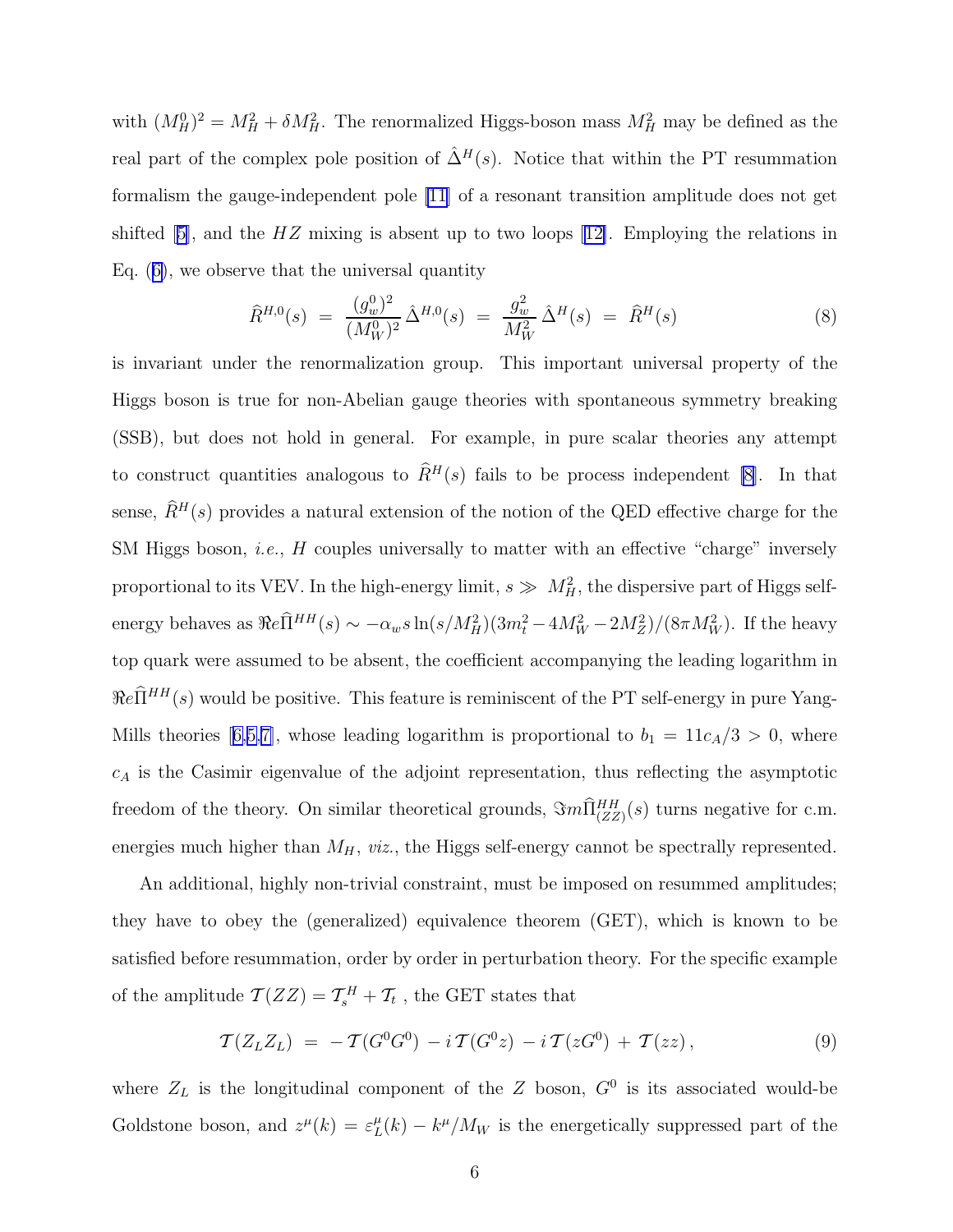<span id="page-5-0"></span>with  $(M_H^0)^2 = M_H^2 + \delta M_H^2$ . The renormalized Higgs-boson mass  $M_H^2$  may be defined as the real part of the complex pole position of  $\hat{\Delta}^H(s)$ . Notice that within the PT resummation formalism the gauge-independent pole [\[11](#page-8-0)] of a resonant transition amplitude does not get shifted[[5\]](#page-8-0), and the  $HZ$  mixing is absent up to two loops [[12\]](#page-8-0). Employing the relations in Eq.([6\)](#page-4-0), we observe that the universal quantity

$$
\widehat{R}^{H,0}(s) = \frac{(g_w^0)^2}{(M_W^0)^2} \widehat{\Delta}^{H,0}(s) = \frac{g_w^2}{M_W^2} \widehat{\Delta}^H(s) = \widehat{R}^H(s)
$$
\n(8)

is invariant under the renormalization group. This important universal property of the Higgs boson is true for non-Abelian gauge theories with spontaneous symmetry breaking (SSB), but does not hold in general. For example, in pure scalar theories any attempt to construct quantities analogous to  $\widehat{R}^H(s)$  fails to be process independent [\[8](#page-8-0)]. In that sense,  $\hat{R}^H(s)$  provides a natural extension of the notion of the QED effective charge for the SM Higgs boson, *i.e.*, H couples universally to matter with an effective "charge" inversely proportional to its VEV. In the high-energy limit,  $s \gg M_H^2$ , the dispersive part of Higgs selfenergy behaves as  $\Re e \hat{\Pi}^{HH}(s) \sim -\alpha_w s \ln(s/M_H^2)(3m_t^2 - 4M_W^2 - 2M_Z^2)/(8\pi M_W^2)$ . If the heavy top quark were assumed to be absent, the coefficient accompanying the leading logarithm in  $\Re e\widehat{\Pi}^{HH}(s)$  would be positive. This feature is reminiscent of the PT self-energy in pure Yang-Millstheories [[6,5,7\]](#page-8-0), whose leading logarithm is proportional to  $b_1 = 11c_A/3 > 0$ , where  $c_A$  is the Casimir eigenvalue of the adjoint representation, thus reflecting the asymptotic freedom of the theory. On similar theoretical grounds,  $\Im m \hat{\Pi}_{(ZZ)}^{HH}(s)$  turns negative for c.m. energies much higher than  $M_H$ , viz., the Higgs self-energy cannot be spectrally represented.

An additional, highly non-trivial constraint, must be imposed on resummed amplitudes; they have to obey the (generalized) equivalence theorem (GET), which is known to be satisfied before resummation, order by order in perturbation theory. For the specific example of the amplitude  $\mathcal{T}(ZZ) = \mathcal{T}_{s}^{H} + \mathcal{T}_{t}$ , the GET states that

$$
\mathcal{T}(Z_L Z_L) = -\mathcal{T}(G^0 G^0) - i \mathcal{T}(G^0 z) - i \mathcal{T}(z G^0) + \mathcal{T}(z z) , \qquad (9)
$$

where  $Z_L$  is the longitudinal component of the Z boson,  $G^0$  is its associated would-be Goldstone boson, and  $z^{\mu}(k) = \varepsilon_L^{\mu}$  $L'(k) - k^{\mu}/M_W$  is the energetically suppressed part of the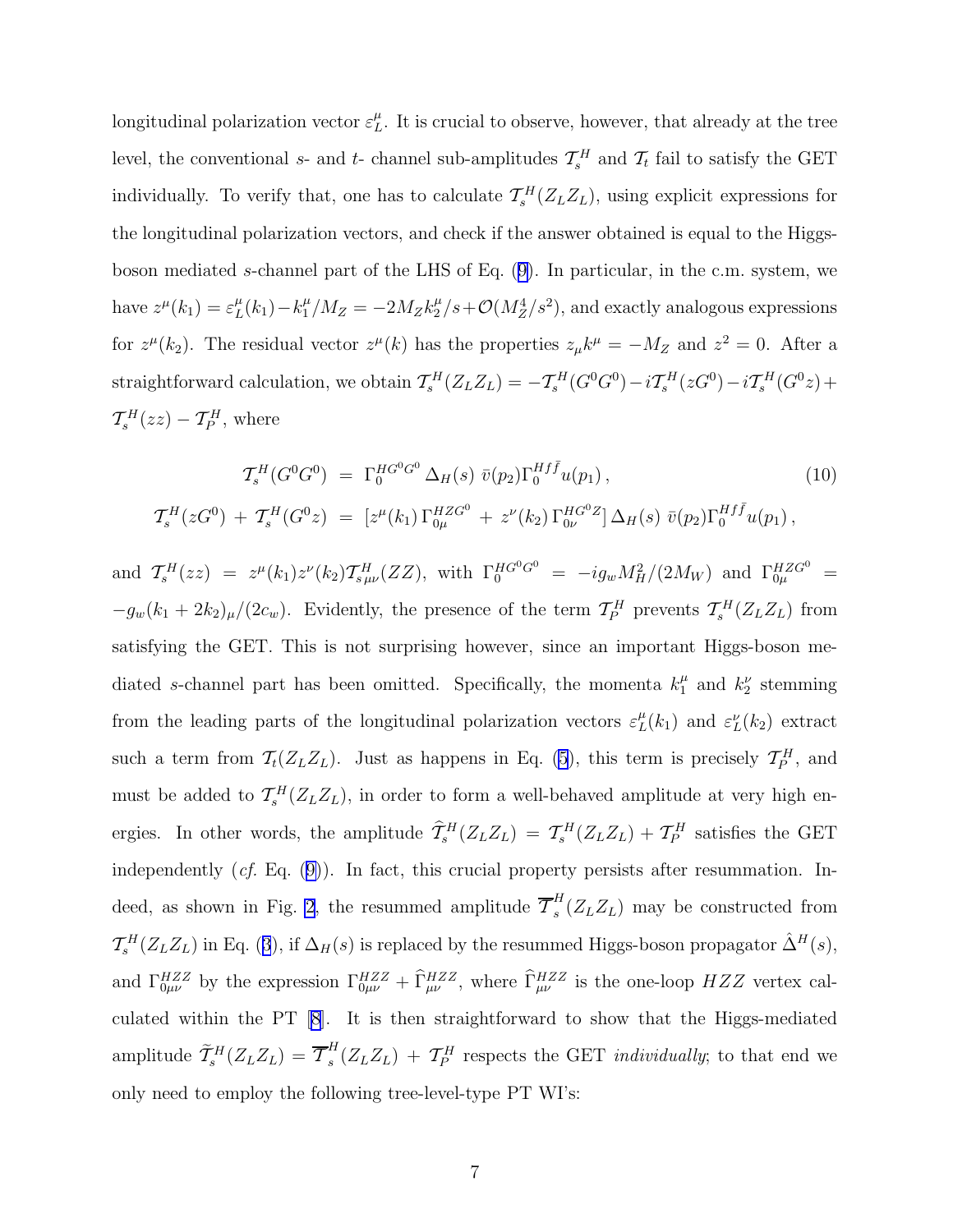longitudinal polarization vector  $\varepsilon_L^{\mu}$ . It is crucial to observe, however, that already at the tree level, the conventional s- and t- channel sub-amplitudes  $\mathcal{T}_{s}^{H}$  and  $\mathcal{T}_{t}$  fail to satisfy the GET individually. To verify that, one has to calculate  $\mathcal{T}_{s}^{H}(Z_{L}Z_{L})$ , using explicit expressions for the longitudinal polarization vectors, and check if the answer obtained is equal to the Higgsboson mediated s-channel part of the LHS of Eq.([9\)](#page-5-0). In particular, in the c.m. system, we have  $z^{\mu}(k_1) = \varepsilon_L^{\mu}$  $L(L_1) - k_1^{\mu}/M_Z = -2M_Z k_2^{\mu}/s + \mathcal{O}(M_Z^4/s^2)$ , and exactly analogous expressions for  $z^{\mu}(k_2)$ . The residual vector  $z^{\mu}(k)$  has the properties  $z_{\mu}k^{\mu} = -M_Z$  and  $z^2 = 0$ . After a straightforward calculation, we obtain  $\mathcal{T}_{s}^{H}(Z_{L}Z_{L}) = -\mathcal{T}_{s}^{H}(G^{0}G^{0}) - i\mathcal{T}_{s}^{H}(zG^{0}) - i\mathcal{T}_{s}^{H}(G^{0}z) +$  $\mathcal{T}_{s}^{H}(zz) - \mathcal{T}_{P}^{H}$ , where

$$
\mathcal{T}_{s}^{H}(G^{0}G^{0}) = \Gamma_{0}^{HG^{0}G^{0}} \Delta_{H}(s) \bar{v}(p_{2}) \Gamma_{0}^{Hf\bar{f}} u(p_{1}),
$$
\n
$$
\mathcal{T}_{s}^{H}(zG^{0}) + \mathcal{T}_{s}^{H}(G^{0}z) = [z^{\mu}(k_{1}) \Gamma_{0\mu}^{HZG^{0}} + z^{\nu}(k_{2}) \Gamma_{0\nu}^{HG^{0}Z}] \Delta_{H}(s) \bar{v}(p_{2}) \Gamma_{0}^{Hf\bar{f}} u(p_{1}),
$$
\n(10)

and  $\mathcal{T}_{s}^{H}(zz) = z^{\mu}(k_1)z^{\nu}(k_2)\mathcal{T}_{s\,\mu\nu}^{H}(ZZ)$ , with  $\Gamma_{0}^{HG^{0}G^{0}} = -ig_{w}M_{H}^{2}/(2M_{W})$  and  $\Gamma_{0\mu}^{HZG^{0}} =$  $-g_w(k_1+2k_2)_{\mu}/(2c_w)$ . Evidently, the presence of the term  $\mathcal{T}_P^H$  prevents  $\mathcal{T}_s^H(Z_LZ_L)$  from satisfying the GET. This is not surprising however, since an important Higgs-boson mediated s-channel part has been omitted. Specifically, the momenta  $k_1^{\mu}$  and  $k_2^{\nu}$  stemming from the leading parts of the longitudinal polarization vectors  $\varepsilon_L^{\mu}(k_1)$  and  $\varepsilon_L^{\nu}(k_2)$  extract such a term from  $\mathcal{T}_t(Z_L Z_L)$ . Just as happens in Eq. [\(5](#page-4-0)), this term is precisely  $\mathcal{T}_P^H$ , and must be added to  $\mathcal{T}_{s}^{H}(Z_{L}Z_{L})$ , in order to form a well-behaved amplitude at very high energies. In other words, the amplitude  $\hat{T}_{s}^{H}(Z_{L}Z_{L}) = \mathcal{T}_{s}^{H}(Z_{L}Z_{L}) + \mathcal{T}_{P}^{H}$  satisfies the GET independently (cf. Eq.([9\)](#page-5-0)). In fact, this crucial property persists after resummation. In-deed, as shown in Fig. [2](#page-10-0), the resummed amplitude  $\overline{\mathcal{T}}_s^H$  $\binom{n}{s}(Z_LZ_L)$  may be constructed from  $\mathcal{T}_{s}^{H}(Z_LZ_L)$ in Eq. ([3](#page-3-0)), if  $\Delta_H(s)$  is replaced by the resummed Higgs-boson propagator  $\hat{\Delta}^{H}(s)$ , and  $\Gamma_{0\mu\nu}^{HZZ}$  by the expression  $\Gamma_{0\mu\nu}^{HZZ} + \hat{\Gamma}_{\mu\nu}^{HZZ}$ , where  $\hat{\Gamma}_{\mu\nu}^{HZZ}$  is the one-loop  $HZZ$  vertex calculated within the PT [\[8](#page-8-0)]. It is then straightforward to show that the Higgs-mediated amplitude  $\widetilde{\mathcal{T}}_s^H(Z_L Z_L) = \overline{\mathcal{T}}_s^H$  $s<sup>H</sup>(Z_LZ_L) + T_P^H$  respects the GET *individually*; to that end we only need to employ the following tree-level-type PT WI's: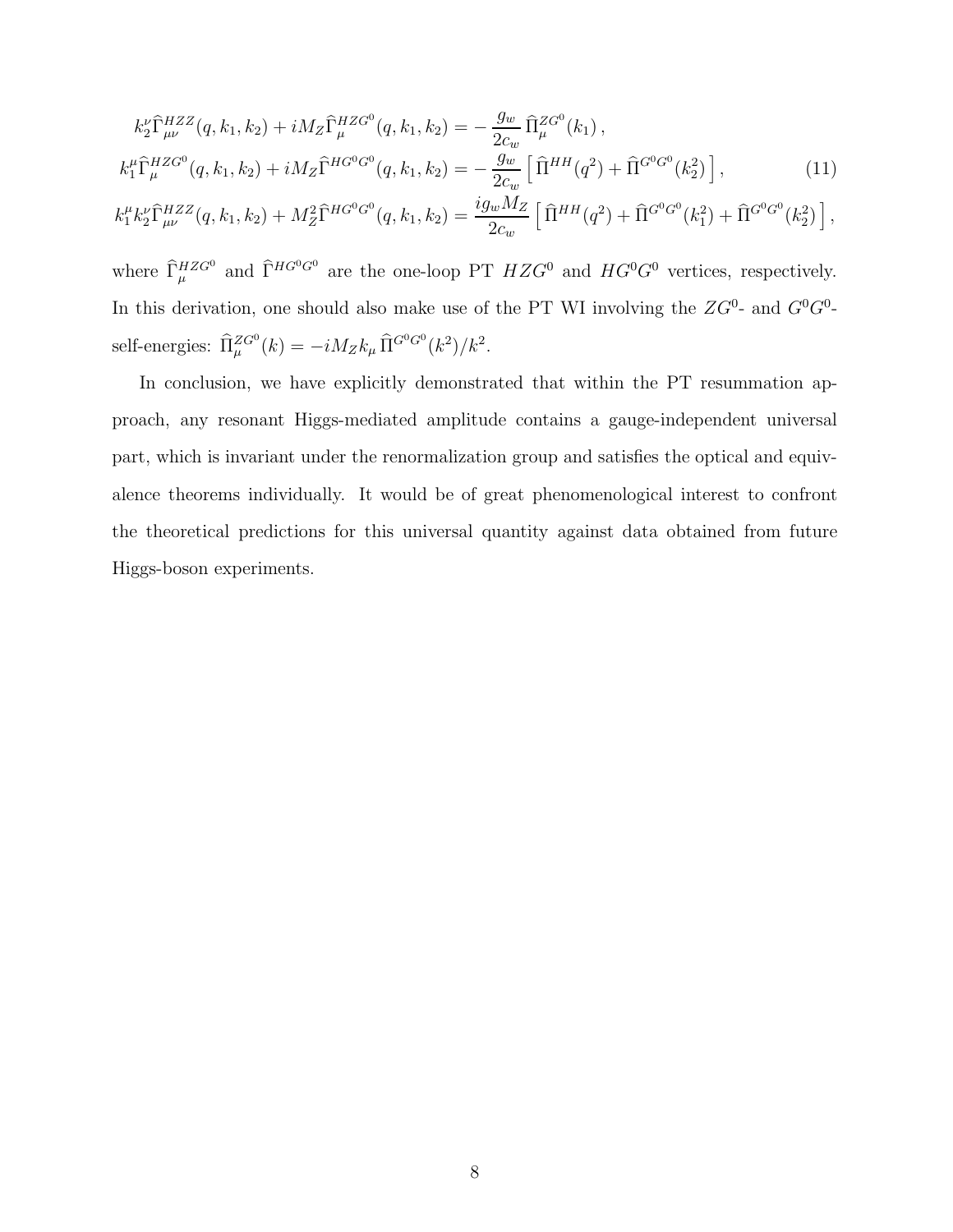$$
k_2^{\nu} \hat{\Gamma}^{HZZ}_{\mu\nu}(q, k_1, k_2) + i M_Z \hat{\Gamma}^{HZG^0}_{\mu}(q, k_1, k_2) = -\frac{g_w}{2c_w} \hat{\Pi}^{ZG^0}_{\mu}(k_1),
$$
  
\n
$$
k_1^{\mu} \hat{\Gamma}^{HZG^0}_{\mu}(q, k_1, k_2) + i M_Z \hat{\Gamma}^{HG^0G^0}(q, k_1, k_2) = -\frac{g_w}{2c_w} \left[ \hat{\Pi}^{HH}(q^2) + \hat{\Pi}^{G^0G^0}(k_2^2) \right],
$$
\n
$$
k_1^{\mu} k_2^{\nu} \hat{\Gamma}^{HZZ}_{\mu\nu}(q, k_1, k_2) + M_Z^2 \hat{\Gamma}^{HG^0G^0}(q, k_1, k_2) = \frac{i g_w M_Z}{2c_w} \left[ \hat{\Pi}^{HH}(q^2) + \hat{\Pi}^{G^0G^0}(k_1^2) + \hat{\Pi}^{G^0G^0}(k_2^2) \right],
$$
\n(11)

where  $\widehat{\Gamma}_{\mu}^{HZG^0}$  and  $\widehat{\Gamma}^{HG^0G^0}$  are the one-loop PT  $HZG^0$  and  $HG^0G^0$  vertices, respectively. In this derivation, one should also make use of the PT WI involving the  $ZG^0$ - and  $G^0G^0$ self-energies:  $\widehat{\Pi}^{ZG^0}_\mu(k) = -iM_Z k_\mu \widehat{\Pi}^{G^0G^0}(k^2)/k^2$ .

In conclusion, we have explicitly demonstrated that within the PT resummation approach, any resonant Higgs-mediated amplitude contains a gauge-independent universal part, which is invariant under the renormalization group and satisfies the optical and equivalence theorems individually. It would be of great phenomenological interest to confront the theoretical predictions for this universal quantity against data obtained from future Higgs-boson experiments.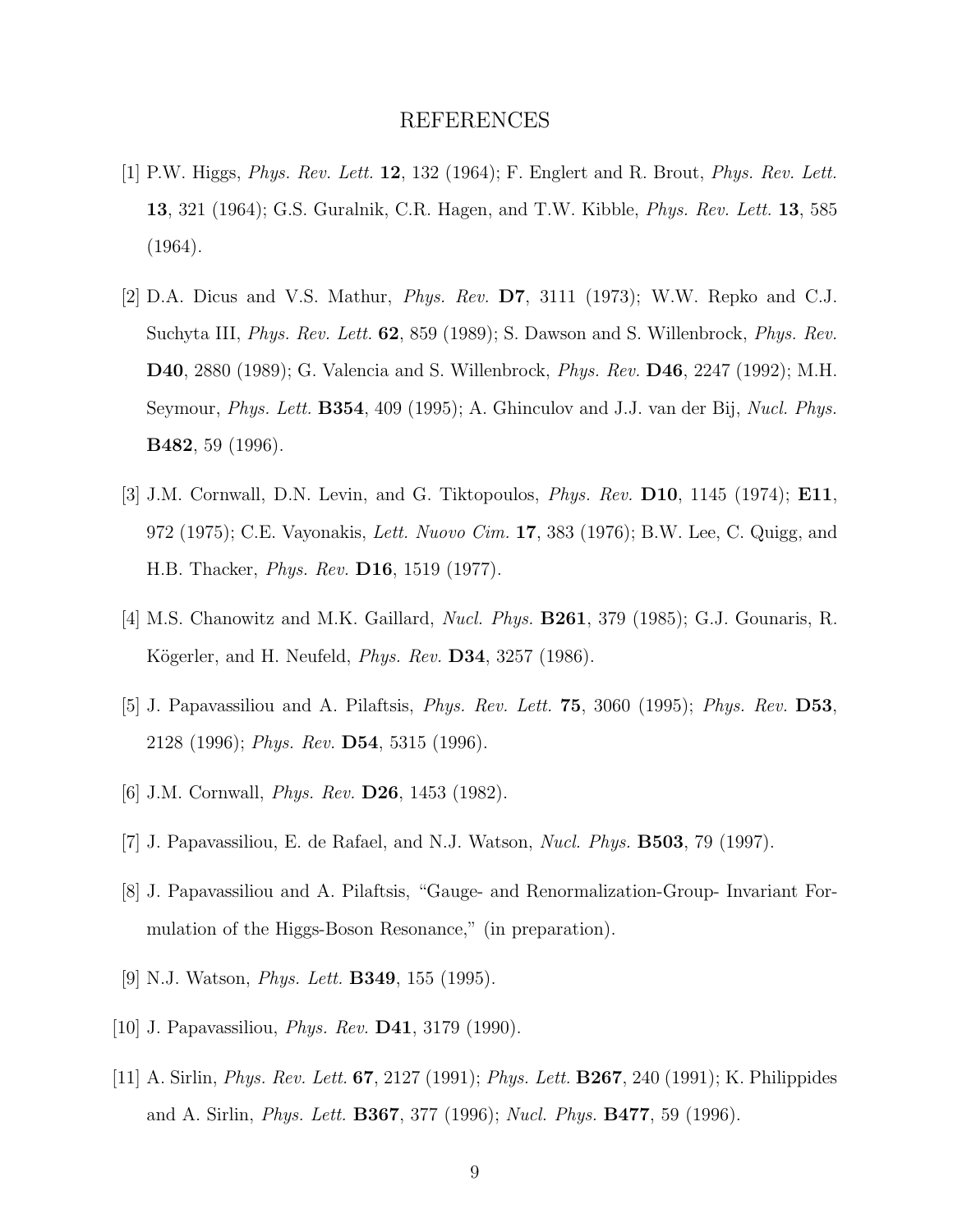## REFERENCES

- <span id="page-8-0"></span>[1] P.W. Higgs, Phys. Rev. Lett. 12, 132 (1964); F. Englert and R. Brout, Phys. Rev. Lett. 13, 321 (1964); G.S. Guralnik, C.R. Hagen, and T.W. Kibble, Phys. Rev. Lett. 13, 585 (1964).
- [2] D.A. Dicus and V.S. Mathur, Phys. Rev. D7, 3111 (1973); W.W. Repko and C.J. Suchyta III, *Phys. Rev. Lett.* **62**, 859 (1989); S. Dawson and S. Willenbrock, *Phys. Rev.* D40, 2880 (1989); G. Valencia and S. Willenbrock, Phys. Rev. D46, 2247 (1992); M.H. Seymour, Phys. Lett. B354, 409 (1995); A. Ghinculov and J.J. van der Bij, Nucl. Phys. B482, 59 (1996).
- [3] J.M. Cornwall, D.N. Levin, and G. Tiktopoulos, Phys. Rev. D10, 1145 (1974); E11, 972 (1975); C.E. Vayonakis, Lett. Nuovo Cim. 17, 383 (1976); B.W. Lee, C. Quigg, and H.B. Thacker, Phys. Rev. D16, 1519 (1977).
- [4] M.S. Chanowitz and M.K. Gaillard, Nucl. Phys. B261, 379 (1985); G.J. Gounaris, R. Kögerler, and H. Neufeld, *Phys. Rev.* **D34**, 3257 (1986).
- [5] J. Papavassiliou and A. Pilaftsis, Phys. Rev. Lett. 75, 3060 (1995); Phys. Rev. D53, 2128 (1996); Phys. Rev. D54, 5315 (1996).
- [6] J.M. Cornwall, *Phys. Rev.* **D26**, 1453 (1982).
- [7] J. Papavassiliou, E. de Rafael, and N.J. Watson, Nucl. Phys. B503, 79 (1997).
- [8] J. Papavassiliou and A. Pilaftsis, "Gauge- and Renormalization-Group- Invariant Formulation of the Higgs-Boson Resonance," (in preparation).
- [9] N.J. Watson, *Phys. Lett.* **B349**, 155 (1995).
- [10] J. Papavassiliou, *Phys. Rev.* **D41**, 3179 (1990).
- [11] A. Sirlin, Phys. Rev. Lett. 67, 2127 (1991); Phys. Lett. B267, 240 (1991); K. Philippides and A. Sirlin, Phys. Lett. B367, 377 (1996); Nucl. Phys. B477, 59 (1996).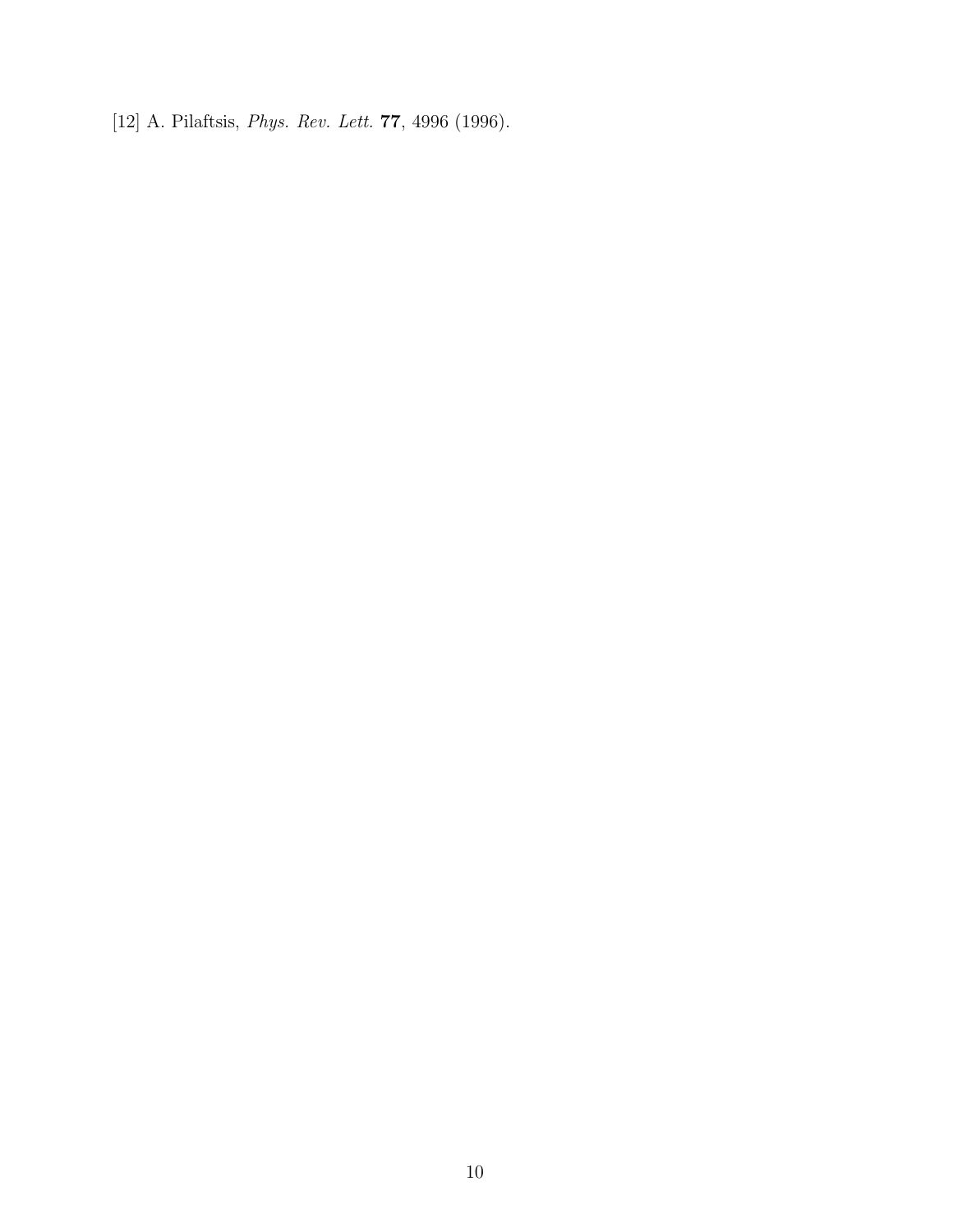[12] A. Pilaftsis, *Phys. Rev. Lett.* **77**, 4996 (1996).